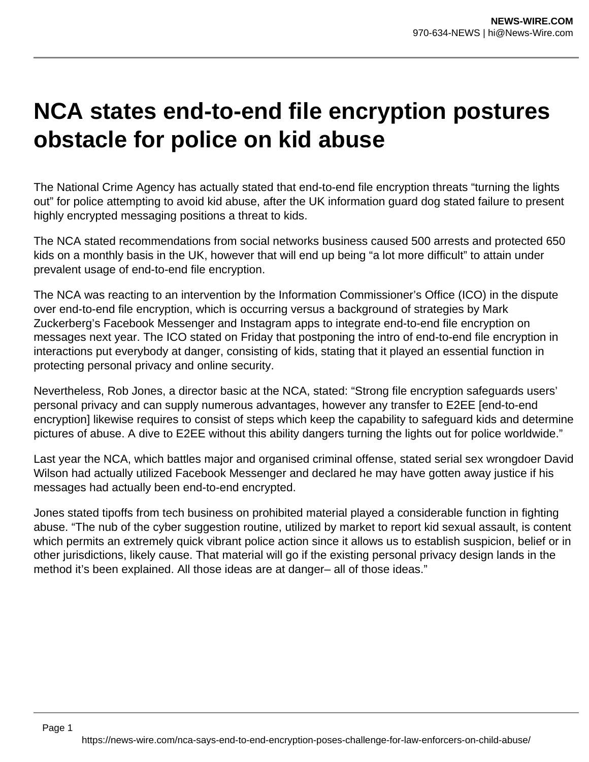## **NCA states end-to-end file encryption postures obstacle for police on kid abuse**

The National Crime Agency has actually stated that end-to-end file encryption threats "turning the lights out" for police attempting to avoid kid abuse, after the UK information guard dog stated failure to present highly encrypted messaging positions a threat to kids.

The NCA stated recommendations from social networks business caused 500 arrests and protected 650 kids on a monthly basis in the UK, however that will end up being "a lot more difficult" to attain under prevalent usage of end-to-end file encryption.

The NCA was reacting to an intervention by the Information Commissioner's Office (ICO) in the dispute over end-to-end file encryption, which is occurring versus a background of strategies by Mark Zuckerberg's Facebook Messenger and Instagram apps to integrate end-to-end file encryption on messages next year. The ICO stated on Friday that postponing the intro of end-to-end file encryption in interactions put everybody at danger, consisting of kids, stating that it played an essential function in protecting personal privacy and online security.

Nevertheless, Rob Jones, a director basic at the NCA, stated: "Strong file encryption safeguards users' personal privacy and can supply numerous advantages, however any transfer to E2EE [end-to-end encryption] likewise requires to consist of steps which keep the capability to safeguard kids and determine pictures of abuse. A dive to E2EE without this ability dangers turning the lights out for police worldwide."

Last year the NCA, which battles major and organised criminal offense, stated serial sex wrongdoer David Wilson had actually utilized Facebook Messenger and declared he may have gotten away justice if his messages had actually been end-to-end encrypted.

Jones stated tipoffs from tech business on prohibited material played a considerable function in fighting abuse. "The nub of the cyber suggestion routine, utilized by market to report kid sexual assault, is content which permits an extremely quick vibrant police action since it allows us to establish suspicion, belief or in other jurisdictions, likely cause. That material will go if the existing personal privacy design lands in the method it's been explained. All those ideas are at danger– all of those ideas."